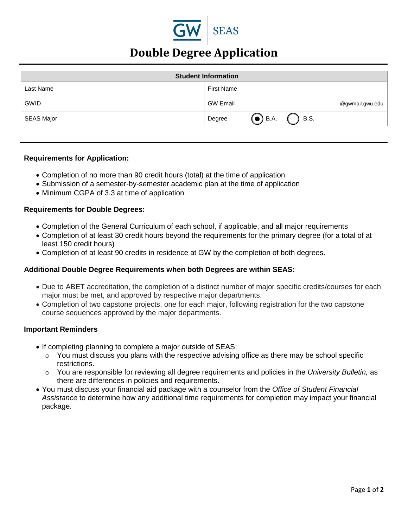

# **Double Degree Application**

| <b>Student Information</b> |  |                   |                       |
|----------------------------|--|-------------------|-----------------------|
| Last Name                  |  | <b>First Name</b> |                       |
| <b>GWID</b>                |  | <b>GW Email</b>   | @gwmail.gwu.edu       |
| <b>SEAS Major</b>          |  | Degree            | <b>B.S.</b><br>) B.A. |

#### **Requirements for Application:**

- Completion of no more than 90 credit hours (total) at the time of application
- Submission of a semester-by-semester academic plan at the time of application
- Minimum CGPA of 3.3 at time of application

#### **Requirements for Double Degrees:**

- Completion of the General Curriculum of each school, if applicable, and all major requirements
- Completion of at least 30 credit hours beyond the requirements for the primary degree (for a total of at least 150 credit hours)
- Completion of at least 90 credits in residence at GW by the completion of both degrees.

#### **Additional Double Degree Requirements when both Degrees are within SEAS:**

- Due to ABET accreditation, the completion of a distinct number of major specific credits/courses for each major must be met, and approved by respective major departments.
- Completion of two capstone projects, one for each major, following registration for the two capstone course sequences approved by the major departments.

#### **Important Reminders**

- If completing planning to complete a major outside of SEAS:
	- $\circ$  You must discuss you plans with the respective advising office as there may be school specific restrictions.
	- o You are responsible for reviewing all degree requirements and policies in the *University Bulletin,* as there are differences in policies and requirements.
- You must discuss your financial aid package with a counselor from the *Office of Student Financial Assistance* to determine how any additional time requirements for completion may impact your financial package.